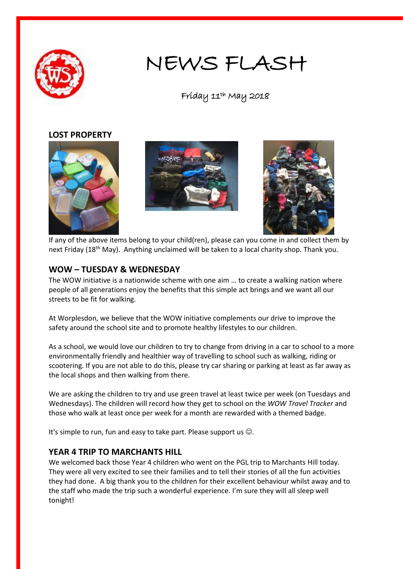

# NEWS FLASH

Friday 11th May 2018

#### **LOST PROPERTY**







If any of the above items belong to your child(ren), please can you come in and collect them by next Friday (18<sup>th</sup> May). Anything unclaimed will be taken to a local charity shop. Thank you.

### **WOW – TUESDAY & WEDNESDAY**

The WOW initiative is a nationwide scheme with one aim … to create a walking nation where people of all generations enjoy the benefits that this simple act brings and we want all our streets to be fit for walking.

At Worplesdon, we believe that the WOW initiative complements our drive to improve the safety around the school site and to promote healthy lifestyles to our children.

As a school, we would love our children to try to change from driving in a car to school to a more environmentally friendly and healthier way of travelling to school such as walking, riding or scootering. If you are not able to do this, please try car sharing or parking at least as far away as the local shops and then walking from there.

We are asking the children to try and use green travel at least twice per week (on Tuesdays and Wednesdays). The children will record how they get to school on the *WOW Travel Tracker* and those who walk at least once per week for a month are rewarded with a themed badge.

It's simple to run, fun and easy to take part. Please support us  $\odot$ .

### **YEAR 4 TRIP TO MARCHANTS HILL**

We welcomed back those Year 4 children who went on the PGL trip to Marchants Hill today. They were all very excited to see their families and to tell their stories of all the fun activities they had done. A big thank you to the children for their excellent behaviour whilst away and to the staff who made the trip such a wonderful experience. I'm sure they will all sleep well tonight!